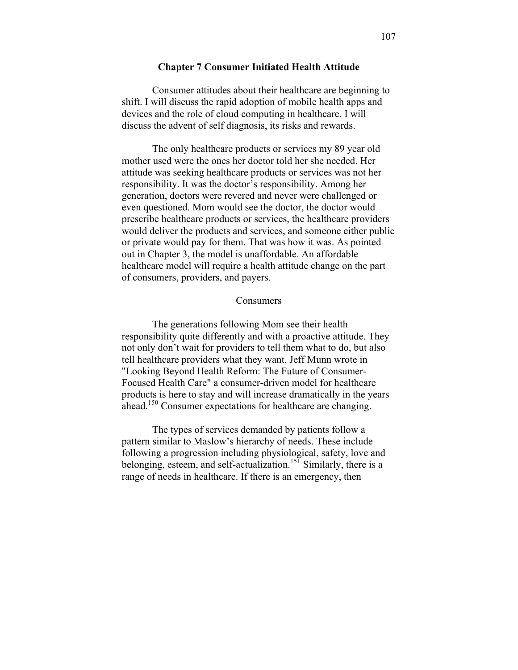#### **Chapter 7 Consumer Initiated Health Attitude**

Consumer attitudes about their healthcare are beginning to shift. I will discuss the rapid adoption of mobile health apps and devices and the role of cloud computing in healthcare. I will discuss the advent of self diagnosis, its risks and rewards.

The only healthcare products or services my 89 year old mother used were the ones her doctor told her she needed. Her attitude was seeking healthcare products or services was not her responsibility. It was the doctor's responsibility. Among her generation, doctors were revered and never were challenged or even questioned. Mom would see the doctor, the doctor would prescribe healthcare products or services, the healthcare providers would deliver the products and services, and someone either public or private would pay for them. That was how it was. As pointed out in Chapter 3, the model is unaffordable. An affordable healthcare model will require a health attitude change on the part of consumers, providers, and payers.

#### **Consumers**

The generations following Mom see their health responsibility quite differently and with a proactive attitude. They not only don't wait for providers to tell them what to do, but also tell healthcare providers what they want. Jeff Munn wrote in "Looking Beyond Health Reform: The Future of Consumer-Focused Health Care" a consumer-driven model for healthcare products is here to stay and will increase dramatically in the years ahead.<sup>150</sup> Consumer expectations for healthcare are changing.

The types of services demanded by patients follow a pattern similar to Maslow's hierarchy of needs. These include following a progression including physiological, safety, love and belonging, esteem, and self-actualization.<sup>15T</sup> Similarly, there is a range of needs in healthcare. If there is an emergency, then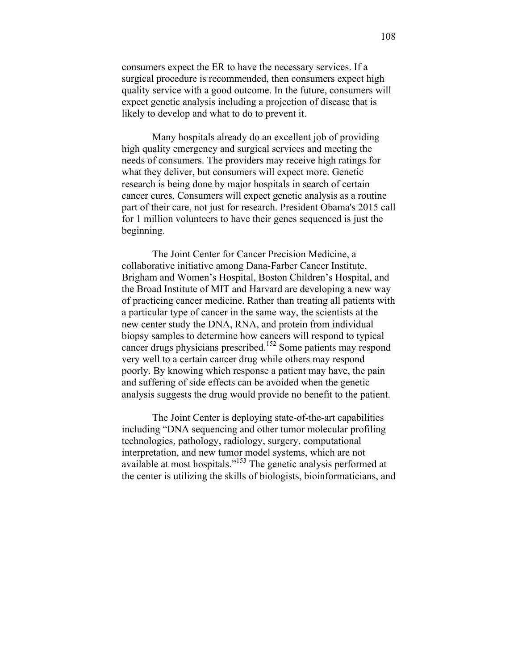consumers expect the ER to have the necessary services. If a surgical procedure is recommended, then consumers expect high quality service with a good outcome. In the future, consumers will expect genetic analysis including a projection of disease that is likely to develop and what to do to prevent it.

Many hospitals already do an excellent job of providing high quality emergency and surgical services and meeting the needs of consumers. The providers may receive high ratings for what they deliver, but consumers will expect more. Genetic research is being done by major hospitals in search of certain cancer cures. Consumers will expect genetic analysis as a routine part of their care, not just for research. President Obama's 2015 call for 1 million volunteers to have their genes sequenced is just the beginning.

The Joint Center for Cancer Precision Medicine, a collaborative initiative among Dana-Farber Cancer Institute, Brigham and Women's Hospital, Boston Children's Hospital, and the Broad Institute of MIT and Harvard are developing a new way of practicing cancer medicine. Rather than treating all patients with a particular type of cancer in the same way, the scientists at the new center study the DNA, RNA, and protein from individual biopsy samples to determine how cancers will respond to typical cancer drugs physicians prescribed. <sup>152</sup> Some patients may respond very well to a certain cancer drug while others may respond poorly. By knowing which response a patient may have, the pain and suffering of side effects can be avoided when the genetic analysis suggests the drug would provide no benefit to the patient.

The Joint Center is deploying state-of-the-art capabilities including "DNA sequencing and other tumor molecular profiling technologies, pathology, radiology, surgery, computational interpretation, and new tumor model systems, which are not available at most hospitals."<sup>153</sup> The genetic analysis performed at the center is utilizing the skills of biologists, bioinformaticians, and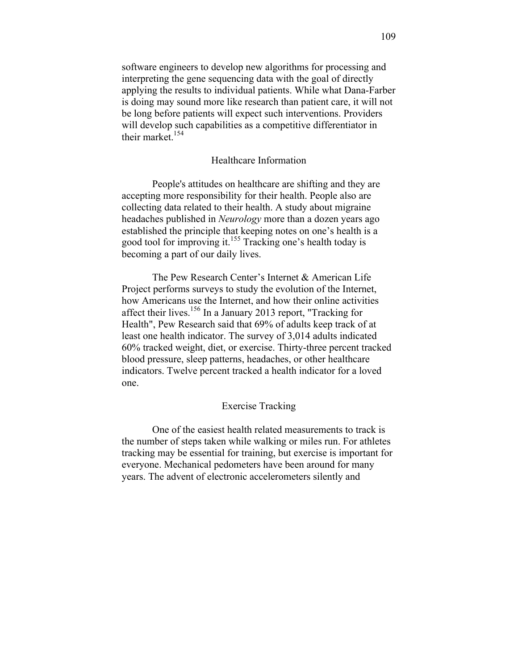software engineers to develop new algorithms for processing and interpreting the gene sequencing data with the goal of directly applying the results to individual patients. While what Dana-Farber is doing may sound more like research than patient care, it will not be long before patients will expect such interventions. Providers will develop such capabilities as a competitive differentiator in their market. $154$ 

## Healthcare Information

People's attitudes on healthcare are shifting and they are accepting more responsibility for their health. People also are collecting data related to their health. A study about migraine headaches published in *Neurology* more than a dozen years ago established the principle that keeping notes on one's health is a good tool for improving it. <sup>155</sup> Tracking one's health today is becoming a part of our daily lives.

The Pew Research Center's Internet & American Life Project performs surveys to study the evolution of the Internet, how Americans use the Internet, and how their online activities affect their lives.<sup>156</sup> In a January 2013 report, "Tracking for Health", Pew Research said that 69% of adults keep track of at least one health indicator. The survey of 3,014 adults indicated 60% tracked weight, diet, or exercise. Thirty-three percent tracked blood pressure, sleep patterns, headaches, or other healthcare indicators. Twelve percent tracked a health indicator for a loved one.

#### Exercise Tracking

One of the easiest health related measurements to track is the number of steps taken while walking or miles run. For athletes tracking may be essential for training, but exercise is important for everyone. Mechanical pedometers have been around for many years. The advent of electronic accelerometers silently and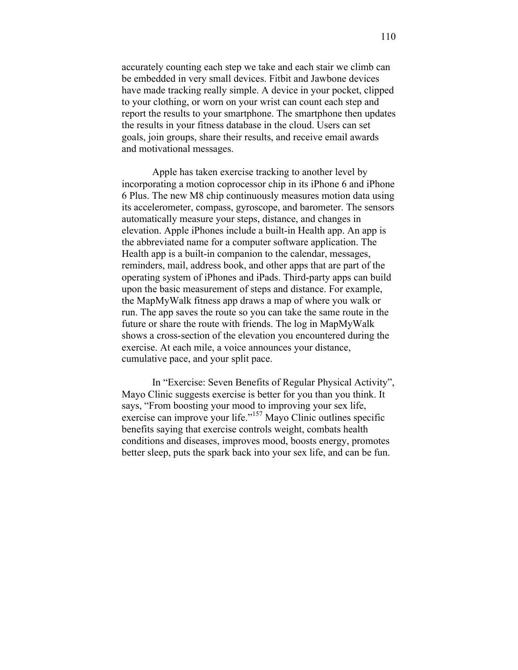accurately counting each step we take and each stair we climb can be embedded in very small devices. Fitbit and Jawbone devices have made tracking really simple. A device in your pocket, clipped to your clothing, or worn on your wrist can count each step and report the results to your smartphone. The smartphone then updates the results in your fitness database in the cloud. Users can set goals, join groups, share their results, and receive email awards and motivational messages.

Apple has taken exercise tracking to another level by incorporating a motion coprocessor chip in its iPhone 6 and iPhone 6 Plus. The new M8 chip continuously measures motion data using its accelerometer, compass, gyroscope, and barometer. The sensors automatically measure your steps, distance, and changes in elevation. Apple iPhones include a built-in Health app. An app is the abbreviated name for a computer software application. The Health app is a built-in companion to the calendar, messages, reminders, mail, address book, and other apps that are part of the operating system of iPhones and iPads. Third-party apps can build upon the basic measurement of steps and distance. For example, the MapMyWalk fitness app draws a map of where you walk or run. The app saves the route so you can take the same route in the future or share the route with friends. The log in MapMyWalk shows a cross-section of the elevation you encountered during the exercise. At each mile, a voice announces your distance, cumulative pace, and your split pace.

In "Exercise: Seven Benefits of Regular Physical Activity", Mayo Clinic suggests exercise is better for you than you think. It says, "From boosting your mood to improving your sex life, exercise can improve your life."<sup>157</sup> Mayo Clinic outlines specific benefits saying that exercise controls weight, combats health conditions and diseases, improves mood, boosts energy, promotes better sleep, puts the spark back into your sex life, and can be fun.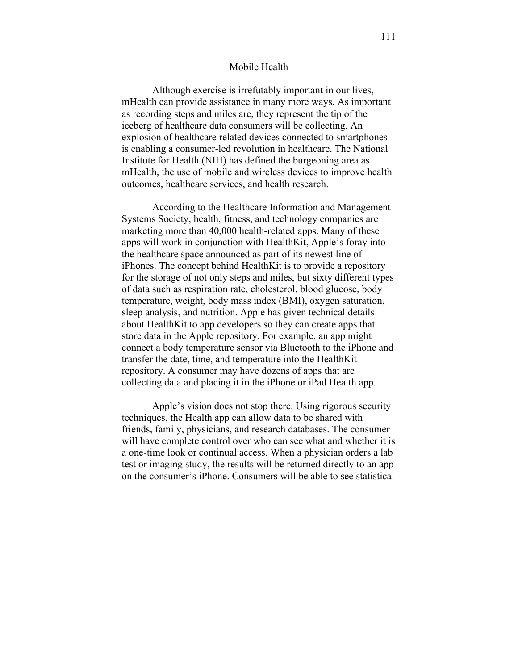#### Mobile Health

Although exercise is irrefutably important in our lives, mHealth can provide assistance in many more ways. As important as recording steps and miles are, they represent the tip of the iceberg of healthcare data consumers will be collecting. An explosion of healthcare related devices connected to smartphones is enabling a consumer-led revolution in healthcare. The National Institute for Health (NIH) has defined the burgeoning area as mHealth, the use of mobile and wireless devices to improve health outcomes, healthcare services, and health research.

According to the Healthcare Information and Management Systems Society, health, fitness, and technology companies are marketing more than 40,000 health-related apps. Many of these apps will work in conjunction with HealthKit, Apple's foray into the healthcare space announced as part of its newest line of iPhones. The concept behind HealthKit is to provide a repository for the storage of not only steps and miles, but sixty different types of data such as respiration rate, cholesterol, blood glucose, body temperature, weight, body mass index (BMI), oxygen saturation, sleep analysis, and nutrition. Apple has given technical details about HealthKit to app developers so they can create apps that store data in the Apple repository. For example, an app might connect a body temperature sensor via Bluetooth to the iPhone and transfer the date, time, and temperature into the HealthKit repository. A consumer may have dozens of apps that are collecting data and placing it in the iPhone or iPad Health app.

Apple's vision does not stop there. Using rigorous security techniques, the Health app can allow data to be shared with friends, family, physicians, and research databases. The consumer will have complete control over who can see what and whether it is a one-time look or continual access. When a physician orders a lab test or imaging study, the results will be returned directly to an app on the consumer's iPhone. Consumers will be able to see statistical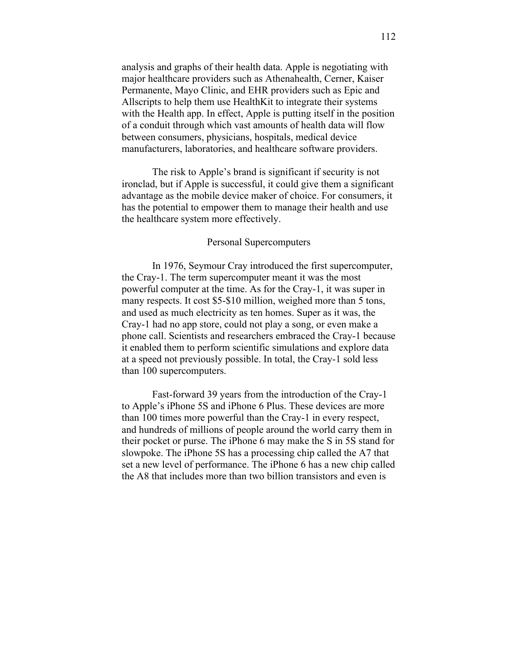analysis and graphs of their health data. Apple is negotiating with major healthcare providers such as Athenahealth, Cerner, Kaiser Permanente, Mayo Clinic, and EHR providers such as Epic and Allscripts to help them use HealthKit to integrate their systems with the Health app. In effect, Apple is putting itself in the position of a conduit through which vast amounts of health data will flow between consumers, physicians, hospitals, medical device manufacturers, laboratories, and healthcare software providers.

The risk to Apple's brand is significant if security is not ironclad, but if Apple is successful, it could give them a significant advantage as the mobile device maker of choice. For consumers, it has the potential to empower them to manage their health and use the healthcare system more effectively.

### Personal Supercomputers

In 1976, Seymour Cray introduced the first supercomputer, the Cray-1. The term supercomputer meant it was the most powerful computer at the time. As for the Cray-1, it was super in many respects. It cost \$5-\$10 million, weighed more than 5 tons, and used as much electricity as ten homes. Super as it was, the Cray-1 had no app store, could not play a song, or even make a phone call. Scientists and researchers embraced the Cray-1 because it enabled them to perform scientific simulations and explore data at a speed not previously possible. In total, the Cray-1 sold less than 100 supercomputers.

Fast-forward 39 years from the introduction of the Cray-1 to Apple's iPhone 5S and iPhone 6 Plus. These devices are more than 100 times more powerful than the Cray-1 in every respect, and hundreds of millions of people around the world carry them in their pocket or purse. The iPhone 6 may make the S in 5S stand for slowpoke. The iPhone 5S has a processing chip called the A7 that set a new level of performance. The iPhone 6 has a new chip called the A8 that includes more than two billion transistors and even is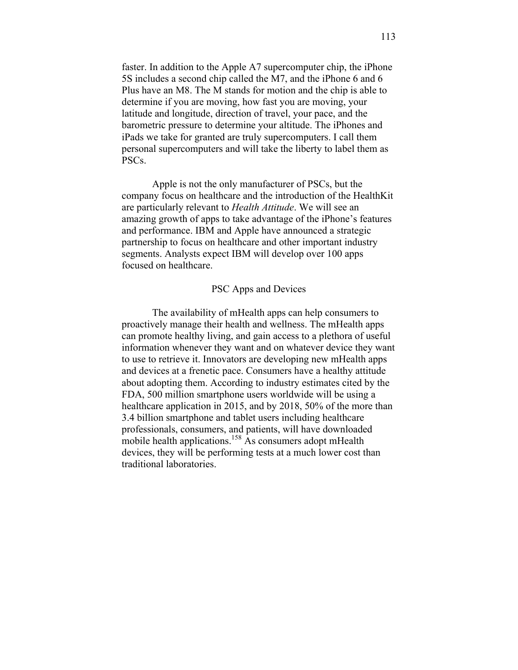faster. In addition to the Apple A7 supercomputer chip, the iPhone 5S includes a second chip called the M7, and the iPhone 6 and 6 Plus have an M8. The M stands for motion and the chip is able to determine if you are moving, how fast you are moving, your latitude and longitude, direction of travel, your pace, and the barometric pressure to determine your altitude. The iPhones and iPads we take for granted are truly supercomputers. I call them personal supercomputers and will take the liberty to label them as PSCs.

Apple is not the only manufacturer of PSCs, but the company focus on healthcare and the introduction of the HealthKit are particularly relevant to *Health Attitude*. We will see an amazing growth of apps to take advantage of the iPhone's features and performance. IBM and Apple have announced a strategic partnership to focus on healthcare and other important industry segments. Analysts expect IBM will develop over 100 apps focused on healthcare.

### PSC Apps and Devices

The availability of mHealth apps can help consumers to proactively manage their health and wellness. The mHealth apps can promote healthy living, and gain access to a plethora of useful information whenever they want and on whatever device they want to use to retrieve it. Innovators are developing new mHealth apps and devices at a frenetic pace. Consumers have a healthy attitude about adopting them. According to industry estimates cited by the FDA, 500 million smartphone users worldwide will be using a healthcare application in 2015, and by 2018, 50% of the more than 3.4 billion smartphone and tablet users including healthcare professionals, consumers, and patients, will have downloaded mobile health applications.<sup>158</sup> As consumers adopt mHealth devices, they will be performing tests at a much lower cost than traditional laboratories.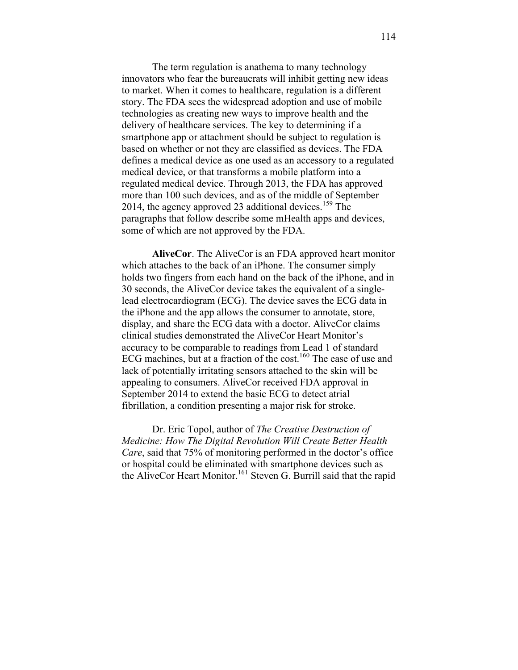The term regulation is anathema to many technology innovators who fear the bureaucrats will inhibit getting new ideas to market. When it comes to healthcare, regulation is a different story. The FDA sees the widespread adoption and use of mobile technologies as creating new ways to improve health and the delivery of healthcare services. The key to determining if a smartphone app or attachment should be subject to regulation is based on whether or not they are classified as devices. The FDA defines a medical device as one used as an accessory to a regulated medical device, or that transforms a mobile platform into a regulated medical device. Through 2013, the FDA has approved more than 100 such devices, and as of the middle of September 2014, the agency approved 23 additional devices.<sup>159</sup> The paragraphs that follow describe some mHealth apps and devices, some of which are not approved by the FDA.

**AliveCor**. The AliveCor is an FDA approved heart monitor which attaches to the back of an iPhone. The consumer simply holds two fingers from each hand on the back of the iPhone, and in 30 seconds, the AliveCor device takes the equivalent of a singlelead electrocardiogram (ECG). The device saves the ECG data in the iPhone and the app allows the consumer to annotate, store, display, and share the ECG data with a doctor. AliveCor claims clinical studies demonstrated the AliveCor Heart Monitor's accuracy to be comparable to readings from Lead 1 of standard ECG machines, but at a fraction of the cost.<sup>160</sup> The ease of use and lack of potentially irritating sensors attached to the skin will be appealing to consumers. AliveCor received FDA approval in September 2014 to extend the basic ECG to detect atrial fibrillation, a condition presenting a major risk for stroke.

Dr. Eric Topol, author of *The Creative Destruction of Medicine: How The Digital Revolution Will Create Better Health Care*, said that 75% of monitoring performed in the doctor's office or hospital could be eliminated with smartphone devices such as the AliveCor Heart Monitor.<sup>161</sup> Steven G. Burrill said that the rapid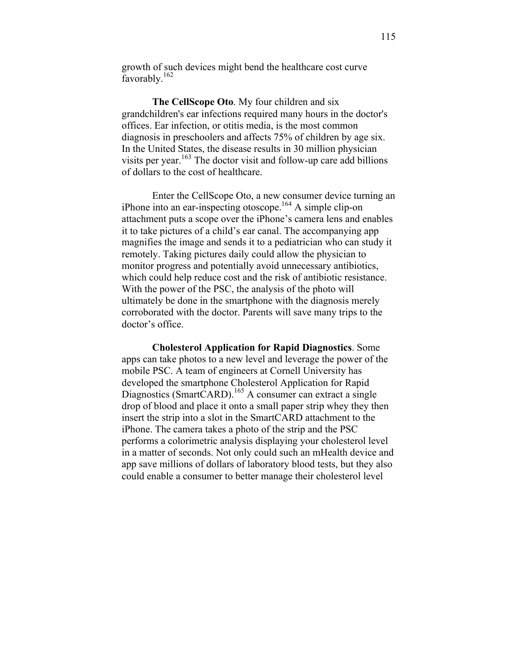growth of such devices might bend the healthcare cost curve favorably.<sup>162</sup>

**The CellScope Oto**. My four children and six grandchildren's ear infections required many hours in the doctor's offices. Ear infection, or otitis media, is the most common diagnosis in preschoolers and affects 75% of children by age six. In the United States, the disease results in 30 million physician visits per year.<sup>163</sup> The doctor visit and follow-up care add billions of dollars to the cost of healthcare.

Enter the CellScope Oto, a new consumer device turning an iPhone into an ear-inspecting otoscope.164 A simple clip-on attachment puts a scope over the iPhone's camera lens and enables it to take pictures of a child's ear canal. The accompanying app magnifies the image and sends it to a pediatrician who can study it remotely. Taking pictures daily could allow the physician to monitor progress and potentially avoid unnecessary antibiotics, which could help reduce cost and the risk of antibiotic resistance. With the power of the PSC, the analysis of the photo will ultimately be done in the smartphone with the diagnosis merely corroborated with the doctor. Parents will save many trips to the doctor's office.

**Cholesterol Application for Rapid Diagnostics**. Some apps can take photos to a new level and leverage the power of the mobile PSC. A team of engineers at Cornell University has developed the smartphone Cholesterol Application for Rapid Diagnostics (SmartCARD).<sup>165</sup> A consumer can extract a single drop of blood and place it onto a small paper strip whey they then insert the strip into a slot in the SmartCARD attachment to the iPhone. The camera takes a photo of the strip and the PSC performs a colorimetric analysis displaying your cholesterol level in a matter of seconds. Not only could such an mHealth device and app save millions of dollars of laboratory blood tests, but they also could enable a consumer to better manage their cholesterol level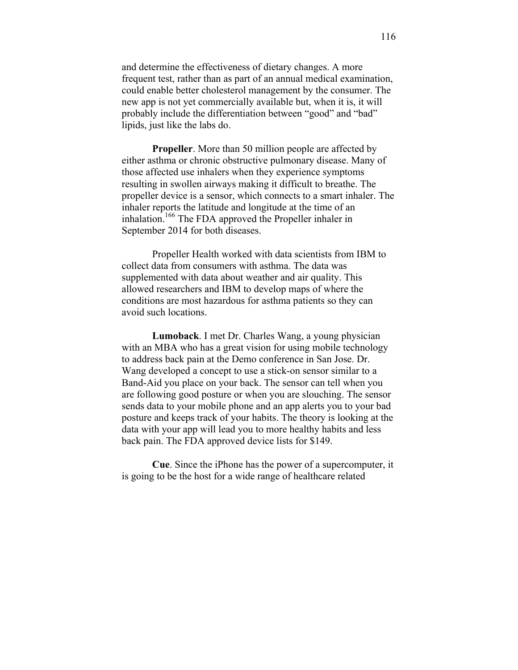and determine the effectiveness of dietary changes. A more frequent test, rather than as part of an annual medical examination, could enable better cholesterol management by the consumer. The new app is not yet commercially available but, when it is, it will probably include the differentiation between "good" and "bad" lipids, just like the labs do.

**Propeller**. More than 50 million people are affected by either asthma or chronic obstructive pulmonary disease. Many of those affected use inhalers when they experience symptoms resulting in swollen airways making it difficult to breathe. The propeller device is a sensor, which connects to a smart inhaler. The inhaler reports the latitude and longitude at the time of an inhalation.166 The FDA approved the Propeller inhaler in September 2014 for both diseases.

Propeller Health worked with data scientists from IBM to collect data from consumers with asthma. The data was supplemented with data about weather and air quality. This allowed researchers and IBM to develop maps of where the conditions are most hazardous for asthma patients so they can avoid such locations.

**Lumoback**. I met Dr. Charles Wang, a young physician with an MBA who has a great vision for using mobile technology to address back pain at the Demo conference in San Jose. Dr. Wang developed a concept to use a stick-on sensor similar to a Band-Aid you place on your back. The sensor can tell when you are following good posture or when you are slouching. The sensor sends data to your mobile phone and an app alerts you to your bad posture and keeps track of your habits. The theory is looking at the data with your app will lead you to more healthy habits and less back pain. The FDA approved device lists for \$149.

**Cue**. Since the iPhone has the power of a supercomputer, it is going to be the host for a wide range of healthcare related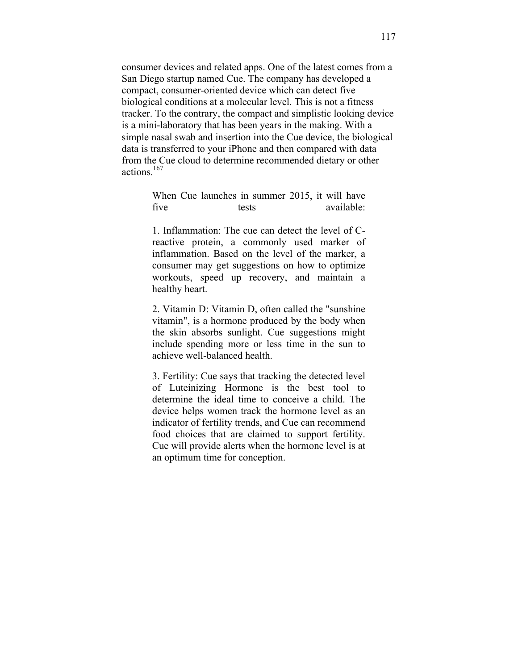consumer devices and related apps. One of the latest comes from a San Diego startup named Cue. The company has developed a compact, consumer-oriented device which can detect five biological conditions at a molecular level. This is not a fitness tracker. To the contrary, the compact and simplistic looking device is a mini-laboratory that has been years in the making. With a simple nasal swab and insertion into the Cue device, the biological data is transferred to your iPhone and then compared with data from the Cue cloud to determine recommended dietary or other actions. 167

> When Cue launches in summer 2015, it will have five tests available tests

> 1. Inflammation: The cue can detect the level of Creactive protein, a commonly used marker of inflammation. Based on the level of the marker, a consumer may get suggestions on how to optimize workouts, speed up recovery, and maintain a healthy heart.

> 2. Vitamin D: Vitamin D, often called the "sunshine vitamin", is a hormone produced by the body when the skin absorbs sunlight. Cue suggestions might include spending more or less time in the sun to achieve well-balanced health.

> 3. Fertility: Cue says that tracking the detected level of Luteinizing Hormone is the best tool to determine the ideal time to conceive a child. The device helps women track the hormone level as an indicator of fertility trends, and Cue can recommend food choices that are claimed to support fertility. Cue will provide alerts when the hormone level is at an optimum time for conception.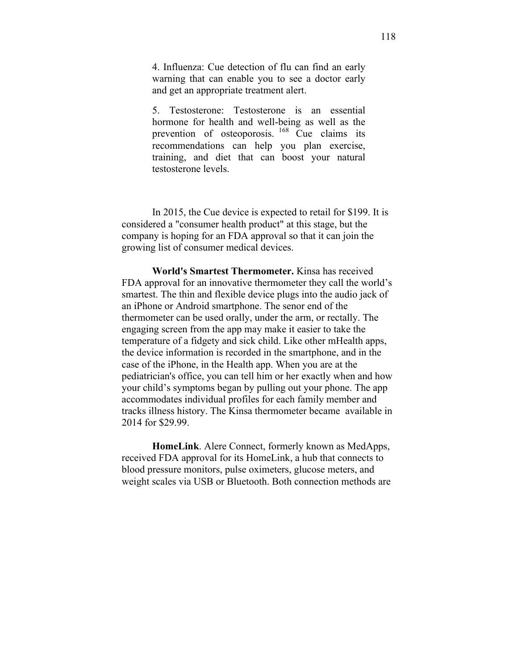4. Influenza: Cue detection of flu can find an early warning that can enable you to see a doctor early and get an appropriate treatment alert.

5. Testosterone: Testosterone is an essential hormone for health and well-being as well as the prevention of osteoporosis. <sup>168</sup> Cue claims its recommendations can help you plan exercise, training, and diet that can boost your natural testosterone levels.

In 2015, the Cue device is expected to retail for \$199. It is considered a "consumer health product" at this stage, but the company is hoping for an FDA approval so that it can join the growing list of consumer medical devices.

**World's Smartest Thermometer.** Kinsa has received FDA approval for an innovative thermometer they call the world's smartest. The thin and flexible device plugs into the audio jack of an iPhone or Android smartphone. The senor end of the thermometer can be used orally, under the arm, or rectally. The engaging screen from the app may make it easier to take the temperature of a fidgety and sick child. Like other mHealth apps, the device information is recorded in the smartphone, and in the case of the iPhone, in the Health app. When you are at the pediatrician's office, you can tell him or her exactly when and how your child's symptoms began by pulling out your phone. The app accommodates individual profiles for each family member and tracks illness history. The Kinsa thermometer became available in 2014 for \$29.99.

**HomeLink**. Alere Connect, formerly known as MedApps, received FDA approval for its HomeLink, a hub that connects to blood pressure monitors, pulse oximeters, glucose meters, and weight scales via USB or Bluetooth. Both connection methods are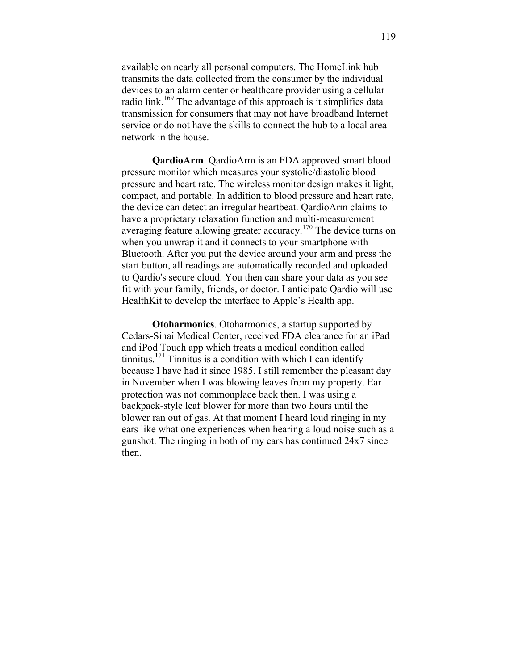available on nearly all personal computers. The HomeLink hub transmits the data collected from the consumer by the individual devices to an alarm center or healthcare provider using a cellular radio link.<sup>169</sup> The advantage of this approach is it simplifies data transmission for consumers that may not have broadband Internet service or do not have the skills to connect the hub to a local area network in the house.

**QardioArm**. QardioArm is an FDA approved smart blood pressure monitor which measures your systolic/diastolic blood pressure and heart rate. The wireless monitor design makes it light, compact, and portable. In addition to blood pressure and heart rate, the device can detect an irregular heartbeat. QardioArm claims to have a proprietary relaxation function and multi-measurement averaging feature allowing greater accuracy.<sup>170</sup> The device turns on when you unwrap it and it connects to your smartphone with Bluetooth. After you put the device around your arm and press the start button, all readings are automatically recorded and uploaded to Qardio's secure cloud. You then can share your data as you see fit with your family, friends, or doctor. I anticipate Qardio will use HealthKit to develop the interface to Apple's Health app.

**Otoharmonics**. Otoharmonics, a startup supported by Cedars-Sinai Medical Center, received FDA clearance for an iPad and iPod Touch app which treats a medical condition called tinnitus.<sup>171</sup> Tinnitus is a condition with which I can identify because I have had it since 1985. I still remember the pleasant day in November when I was blowing leaves from my property. Ear protection was not commonplace back then. I was using a backpack-style leaf blower for more than two hours until the blower ran out of gas. At that moment I heard loud ringing in my ears like what one experiences when hearing a loud noise such as a gunshot. The ringing in both of my ears has continued 24x7 since then.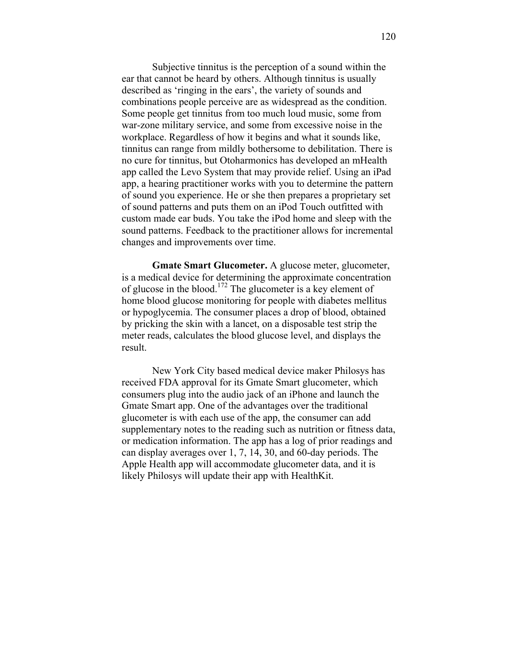Subjective tinnitus is the perception of a sound within the ear that cannot be heard by others. Although tinnitus is usually described as 'ringing in the ears', the variety of sounds and combinations people perceive are as widespread as the condition. Some people get tinnitus from too much loud music, some from war-zone military service, and some from excessive noise in the workplace. Regardless of how it begins and what it sounds like, tinnitus can range from mildly bothersome to debilitation. There is no cure for tinnitus, but Otoharmonics has developed an mHealth app called the Levo System that may provide relief. Using an iPad app, a hearing practitioner works with you to determine the pattern of sound you experience. He or she then prepares a proprietary set of sound patterns and puts them on an iPod Touch outfitted with custom made ear buds. You take the iPod home and sleep with the sound patterns. Feedback to the practitioner allows for incremental changes and improvements over time.

**Gmate Smart Glucometer.** A glucose meter, glucometer, is a medical device for determining the approximate concentration of glucose in the blood.<sup>172</sup> The glucometer is a key element of home blood glucose monitoring for people with diabetes mellitus or hypoglycemia. The consumer places a drop of blood, obtained by pricking the skin with a lancet, on a disposable test strip the meter reads, calculates the blood glucose level, and displays the result.

New York City based medical device maker Philosys has received FDA approval for its Gmate Smart glucometer, which consumers plug into the audio jack of an iPhone and launch the Gmate Smart app. One of the advantages over the traditional glucometer is with each use of the app, the consumer can add supplementary notes to the reading such as nutrition or fitness data, or medication information. The app has a log of prior readings and can display averages over 1, 7, 14, 30, and 60-day periods. The Apple Health app will accommodate glucometer data, and it is likely Philosys will update their app with HealthKit.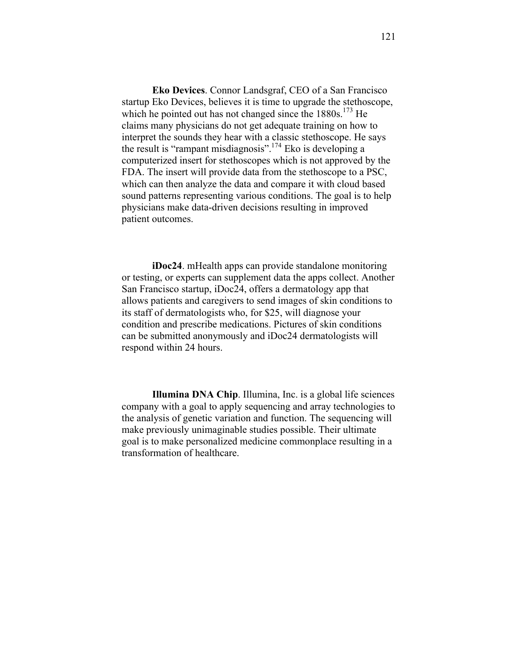**Eko Devices**. Connor Landsgraf, CEO of a San Francisco startup Eko Devices, believes it is time to upgrade the stethoscope, which he pointed out has not changed since the  $1880s$ .<sup>173</sup> He claims many physicians do not get adequate training on how to interpret the sounds they hear with a classic stethoscope. He says the result is "rampant misdiagnosis".<sup>174</sup> Eko is developing a computerized insert for stethoscopes which is not approved by the FDA. The insert will provide data from the stethoscope to a PSC, which can then analyze the data and compare it with cloud based sound patterns representing various conditions. The goal is to help physicians make data-driven decisions resulting in improved patient outcomes.

**iDoc24**. mHealth apps can provide standalone monitoring or testing, or experts can supplement data the apps collect. Another San Francisco startup, iDoc24, offers a dermatology app that allows patients and caregivers to send images of skin conditions to its staff of dermatologists who, for \$25, will diagnose your condition and prescribe medications. Pictures of skin conditions can be submitted anonymously and iDoc24 dermatologists will respond within 24 hours.

**Illumina DNA Chip**. Illumina, Inc. is a global life sciences company with a goal to apply sequencing and array technologies to the analysis of genetic variation and function. The sequencing will make previously unimaginable studies possible. Their ultimate goal is to make personalized medicine commonplace resulting in a transformation of healthcare.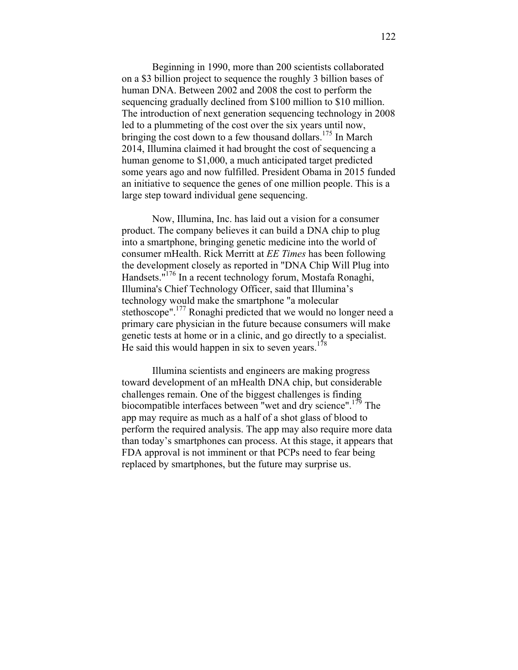Beginning in 1990, more than 200 scientists collaborated on a \$3 billion project to sequence the roughly 3 billion bases of human DNA. Between 2002 and 2008 the cost to perform the sequencing gradually declined from \$100 million to \$10 million. The introduction of next generation sequencing technology in 2008 led to a plummeting of the cost over the six years until now, bringing the cost down to a few thousand dollars.<sup>175</sup> In March 2014, Illumina claimed it had brought the cost of sequencing a human genome to \$1,000, a much anticipated target predicted some years ago and now fulfilled. President Obama in 2015 funded an initiative to sequence the genes of one million people. This is a large step toward individual gene sequencing.

Now, Illumina, Inc. has laid out a vision for a consumer product. The company believes it can build a DNA chip to plug into a smartphone, bringing genetic medicine into the world of consumer mHealth. Rick Merritt at *EE Times* has been following the development closely as reported in "DNA Chip Will Plug into Handsets."176 In a recent technology forum, Mostafa Ronaghi, Illumina's Chief Technology Officer, said that Illumina's technology would make the smartphone "a molecular stethoscope".<sup>177</sup> Ronaghi predicted that we would no longer need a primary care physician in the future because consumers will make genetic tests at home or in a clinic, and go directly to a specialist. He said this would happen in six to seven years.<sup>178</sup>

Illumina scientists and engineers are making progress toward development of an mHealth DNA chip, but considerable challenges remain. One of the biggest challenges is finding biocompatible interfaces between "wet and dry science".<sup>179</sup> The app may require as much as a half of a shot glass of blood to perform the required analysis. The app may also require more data than today's smartphones can process. At this stage, it appears that FDA approval is not imminent or that PCPs need to fear being replaced by smartphones, but the future may surprise us.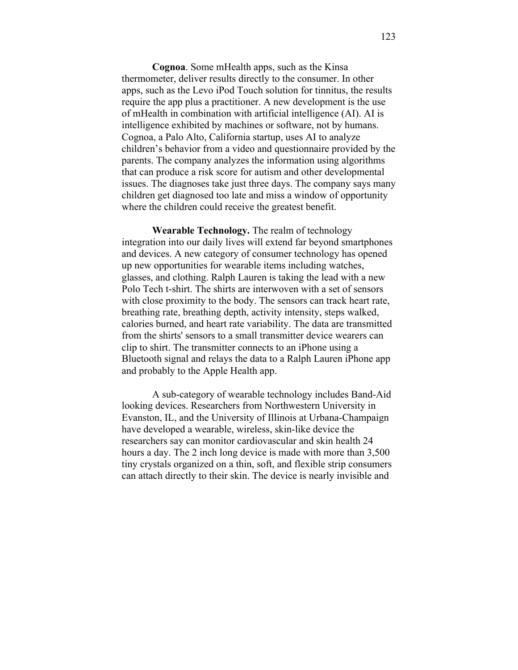**Cognoa**. Some mHealth apps, such as the Kinsa thermometer, deliver results directly to the consumer. In other apps, such as the Levo iPod Touch solution for tinnitus, the results require the app plus a practitioner. A new development is the use of mHealth in combination with artificial intelligence (AI). AI is intelligence exhibited by machines or software, not by humans. Cognoa, a Palo Alto, California startup, uses AI to analyze children's behavior from a video and questionnaire provided by the parents. The company analyzes the information using algorithms that can produce a risk score for autism and other developmental issues. The diagnoses take just three days. The company says many children get diagnosed too late and miss a window of opportunity where the children could receive the greatest benefit.

**Wearable Technology.** The realm of technology integration into our daily lives will extend far beyond smartphones and devices. A new category of consumer technology has opened up new opportunities for wearable items including watches, glasses, and clothing. Ralph Lauren is taking the lead with a new Polo Tech t-shirt. The shirts are interwoven with a set of sensors with close proximity to the body. The sensors can track heart rate, breathing rate, breathing depth, activity intensity, steps walked, calories burned, and heart rate variability. The data are transmitted from the shirts' sensors to a small transmitter device wearers can clip to shirt. The transmitter connects to an iPhone using a Bluetooth signal and relays the data to a Ralph Lauren iPhone app and probably to the Apple Health app.

A sub-category of wearable technology includes Band-Aid looking devices. Researchers from Northwestern University in Evanston, IL, and the University of Illinois at Urbana-Champaign have developed a wearable, wireless, skin-like device the researchers say can monitor cardiovascular and skin health 24 hours a day. The 2 inch long device is made with more than 3,500 tiny crystals organized on a thin, soft, and flexible strip consumers can attach directly to their skin. The device is nearly invisible and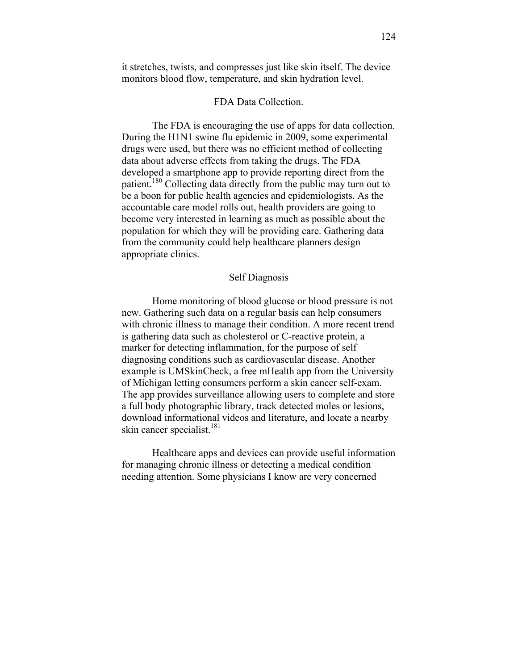it stretches, twists, and compresses just like skin itself. The device monitors blood flow, temperature, and skin hydration level.

## FDA Data Collection.

The FDA is encouraging the use of apps for data collection. During the H1N1 swine flu epidemic in 2009, some experimental drugs were used, but there was no efficient method of collecting data about adverse effects from taking the drugs. The FDA developed a smartphone app to provide reporting direct from the patient.<sup>180</sup> Collecting data directly from the public may turn out to be a boon for public health agencies and epidemiologists. As the accountable care model rolls out, health providers are going to become very interested in learning as much as possible about the population for which they will be providing care. Gathering data from the community could help healthcare planners design appropriate clinics.

### Self Diagnosis

Home monitoring of blood glucose or blood pressure is not new. Gathering such data on a regular basis can help consumers with chronic illness to manage their condition. A more recent trend is gathering data such as cholesterol or C-reactive protein, a marker for detecting inflammation, for the purpose of self diagnosing conditions such as cardiovascular disease. Another example is UMSkinCheck, a free mHealth app from the University of Michigan letting consumers perform a skin cancer self-exam. The app provides surveillance allowing users to complete and store a full body photographic library, track detected moles or lesions, download informational videos and literature, and locate a nearby skin cancer specialist.<sup>181</sup>

Healthcare apps and devices can provide useful information for managing chronic illness or detecting a medical condition needing attention. Some physicians I know are very concerned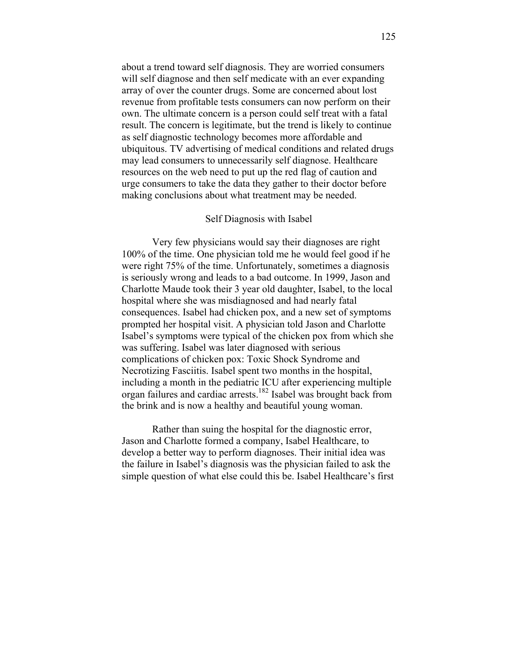about a trend toward self diagnosis. They are worried consumers will self diagnose and then self medicate with an ever expanding array of over the counter drugs. Some are concerned about lost revenue from profitable tests consumers can now perform on their own. The ultimate concern is a person could self treat with a fatal result. The concern is legitimate, but the trend is likely to continue as self diagnostic technology becomes more affordable and ubiquitous. TV advertising of medical conditions and related drugs may lead consumers to unnecessarily self diagnose. Healthcare resources on the web need to put up the red flag of caution and urge consumers to take the data they gather to their doctor before making conclusions about what treatment may be needed.

#### Self Diagnosis with Isabel

Very few physicians would say their diagnoses are right 100% of the time. One physician told me he would feel good if he were right 75% of the time. Unfortunately, sometimes a diagnosis is seriously wrong and leads to a bad outcome. In 1999, Jason and Charlotte Maude took their 3 year old daughter, Isabel, to the local hospital where she was misdiagnosed and had nearly fatal consequences. Isabel had chicken pox, and a new set of symptoms prompted her hospital visit. A physician told Jason and Charlotte Isabel's symptoms were typical of the chicken pox from which she was suffering. Isabel was later diagnosed with serious complications of chicken pox: Toxic Shock Syndrome and Necrotizing Fasciitis. Isabel spent two months in the hospital, including a month in the pediatric ICU after experiencing multiple organ failures and cardiac arrests.182 Isabel was brought back from the brink and is now a healthy and beautiful young woman.

Rather than suing the hospital for the diagnostic error, Jason and Charlotte formed a company, Isabel Healthcare, to develop a better way to perform diagnoses. Their initial idea was the failure in Isabel's diagnosis was the physician failed to ask the simple question of what else could this be. Isabel Healthcare's first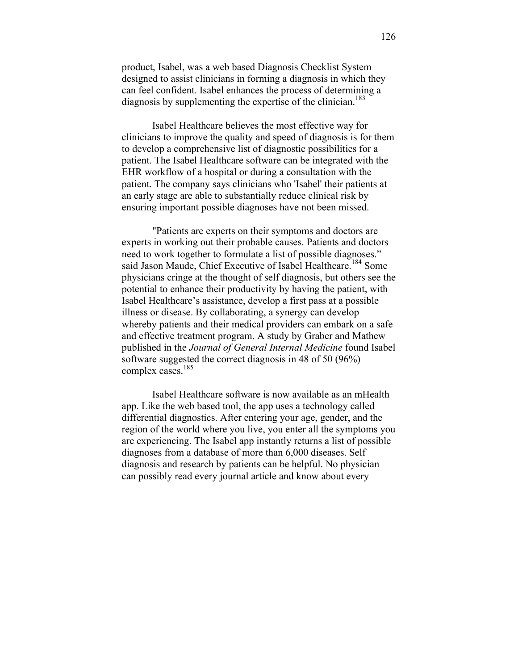product, Isabel, was a web based Diagnosis Checklist System designed to assist clinicians in forming a diagnosis in which they can feel confident. Isabel enhances the process of determining a diagnosis by supplementing the expertise of the clinician.<sup>183</sup>

Isabel Healthcare believes the most effective way for clinicians to improve the quality and speed of diagnosis is for them to develop a comprehensive list of diagnostic possibilities for a patient. The Isabel Healthcare software can be integrated with the EHR workflow of a hospital or during a consultation with the patient. The company says clinicians who 'Isabel' their patients at an early stage are able to substantially reduce clinical risk by ensuring important possible diagnoses have not been missed.

"Patients are experts on their symptoms and doctors are experts in working out their probable causes. Patients and doctors need to work together to formulate a list of possible diagnoses." said Jason Maude, Chief Executive of Isabel Healthcare.<sup>184</sup> Some physicians cringe at the thought of self diagnosis, but others see the potential to enhance their productivity by having the patient, with Isabel Healthcare's assistance, develop a first pass at a possible illness or disease. By collaborating, a synergy can develop whereby patients and their medical providers can embark on a safe and effective treatment program. A study by Graber and Mathew published in the *Journal of General Internal Medicine* found Isabel software suggested the correct diagnosis in 48 of 50 (96%) complex cases. 185

Isabel Healthcare software is now available as an mHealth app. Like the web based tool, the app uses a technology called differential diagnostics. After entering your age, gender, and the region of the world where you live, you enter all the symptoms you are experiencing. The Isabel app instantly returns a list of possible diagnoses from a database of more than 6,000 diseases. Self diagnosis and research by patients can be helpful. No physician can possibly read every journal article and know about every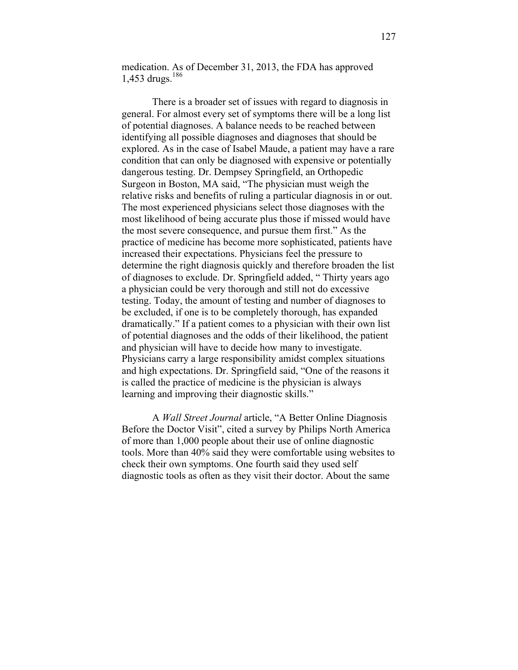medication. As of December 31, 2013, the FDA has approved 1,453 drugs. $186$ 

There is a broader set of issues with regard to diagnosis in general. For almost every set of symptoms there will be a long list of potential diagnoses. A balance needs to be reached between identifying all possible diagnoses and diagnoses that should be explored. As in the case of Isabel Maude, a patient may have a rare condition that can only be diagnosed with expensive or potentially dangerous testing. Dr. Dempsey Springfield, an Orthopedic Surgeon in Boston, MA said, "The physician must weigh the relative risks and benefits of ruling a particular diagnosis in or out. The most experienced physicians select those diagnoses with the most likelihood of being accurate plus those if missed would have the most severe consequence, and pursue them first." As the practice of medicine has become more sophisticated, patients have increased their expectations. Physicians feel the pressure to determine the right diagnosis quickly and therefore broaden the list of diagnoses to exclude. Dr. Springfield added, " Thirty years ago a physician could be very thorough and still not do excessive testing. Today, the amount of testing and number of diagnoses to be excluded, if one is to be completely thorough, has expanded dramatically." If a patient comes to a physician with their own list of potential diagnoses and the odds of their likelihood, the patient and physician will have to decide how many to investigate. Physicians carry a large responsibility amidst complex situations and high expectations. Dr. Springfield said, "One of the reasons it is called the practice of medicine is the physician is always learning and improving their diagnostic skills."

A *Wall Street Journal* article, "A Better Online Diagnosis Before the Doctor Visit", cited a survey by Philips North America of more than 1,000 people about their use of online diagnostic tools. More than 40% said they were comfortable using websites to check their own symptoms. One fourth said they used self diagnostic tools as often as they visit their doctor. About the same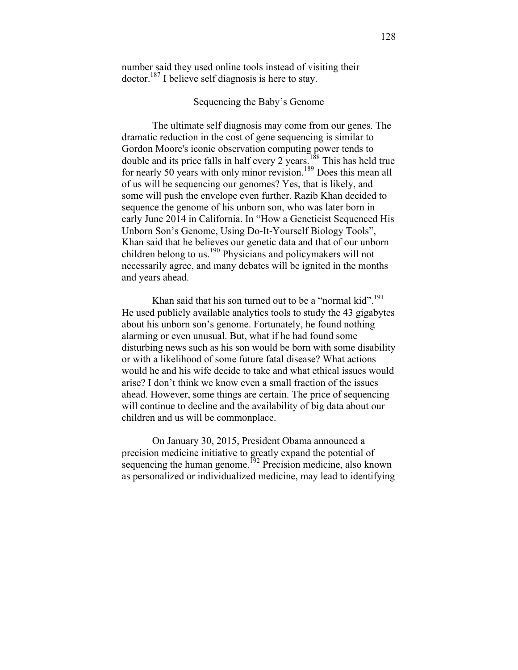number said they used online tools instead of visiting their doctor.<sup>187</sup> I believe self diagnosis is here to stay.

## Sequencing the Baby's Genome

The ultimate self diagnosis may come from our genes. The dramatic reduction in the cost of gene sequencing is similar to Gordon Moore's iconic observation computing power tends to double and its price falls in half every 2 years.<sup>188</sup> This has held true for nearly 50 years with only minor revision.<sup>189</sup> Does this mean all of us will be sequencing our genomes? Yes, that is likely, and some will push the envelope even further. Razib Khan decided to sequence the genome of his unborn son, who was later born in early June 2014 in California. In "How a Geneticist Sequenced His Unborn Son's Genome, Using Do-It-Yourself Biology Tools", Khan said that he believes our genetic data and that of our unborn children belong to us.<sup>190</sup> Physicians and policymakers will not necessarily agree, and many debates will be ignited in the months and years ahead.

Khan said that his son turned out to be a "normal kid".<sup>191</sup> He used publicly available analytics tools to study the 43 gigabytes about his unborn son's genome. Fortunately, he found nothing alarming or even unusual. But, what if he had found some disturbing news such as his son would be born with some disability or with a likelihood of some future fatal disease? What actions would he and his wife decide to take and what ethical issues would arise? I don't think we know even a small fraction of the issues ahead. However, some things are certain. The price of sequencing will continue to decline and the availability of big data about our children and us will be commonplace.

On January 30, 2015, President Obama announced a precision medicine initiative to greatly expand the potential of sequencing the human genome.<sup>192</sup> Precision medicine, also known as personalized or individualized medicine, may lead to identifying